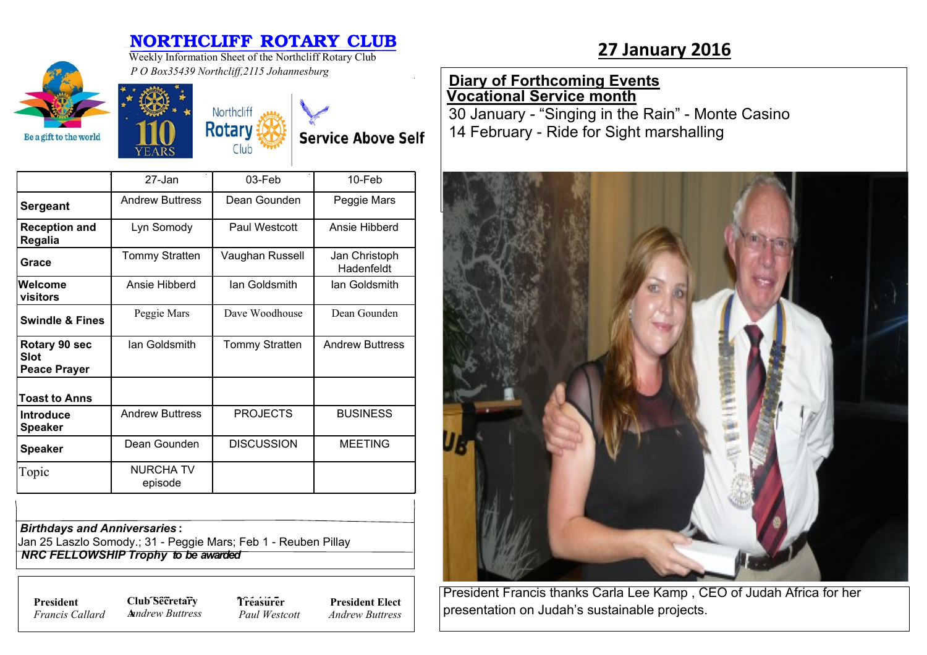## **NORTHCLIFF ROTARY CLUB**<br>Westly Information Sheet of the Northeliff Petery Club. 27 January 2016



Weekly Information Sheet of the Northcliff Rotary Club *P O Box35439 Northcliff,2115 Johannesburg*

> Northcliff **Rotary**

> > Club

## **Diary of Forthcoming Events Vocational Service month**

30 January - "Singing in the Rain" - Monte Casino 14 February - Ride for Sight marshalling



| President Francis thanks Carla Lee Kamp, CEO of Judah Africa for her |  |
|----------------------------------------------------------------------|--|
| presentation on Judah's sustainable projects.                        |  |

27-Jan 03-Feb 10-Feb **Sergeant** Andrew Buttress | Dean Gounden | Peggie Mars **Reception and Regalia** Lyn Somody | Paul Westcott | Ansie Hibberd Grace **Tommy Stratten | Vaughan Russell | Jan Christoph** Hadenfeldt **Welcome visitors** Ansie Hibberd | Ian Goldsmith | Ian Goldsmith **Swindle & Fines** Peggie Mars Dave Woodhouse Dean Gounden **Rotary 90 sec Slot Peace Prayer** Ian Goldsmith | Tommy Stratten | Andrew Buttress **Toast to Anns Introduce Speaker** Andrew Buttress | PROJECTS | BUSINESS **Speaker** | Dean Gounden | DISCUSSION | MEETING Topic NURCHA TV episode

*Birthdays and Anniversaries* **:**

Jan 25 Laszlo Somody.; 31 - Peggie Mars; Feb 1 - Reuben Pillay  *NRC FELLOWSHIP Trophy to be awarded*

*Francis Callard*

**President Club Secretary 7** *Treasure* **A***nndrew Buttress* **Treasurer** *Paul Westcott*

**President Elect** *Andrew Buttress*

**Service Above Self**